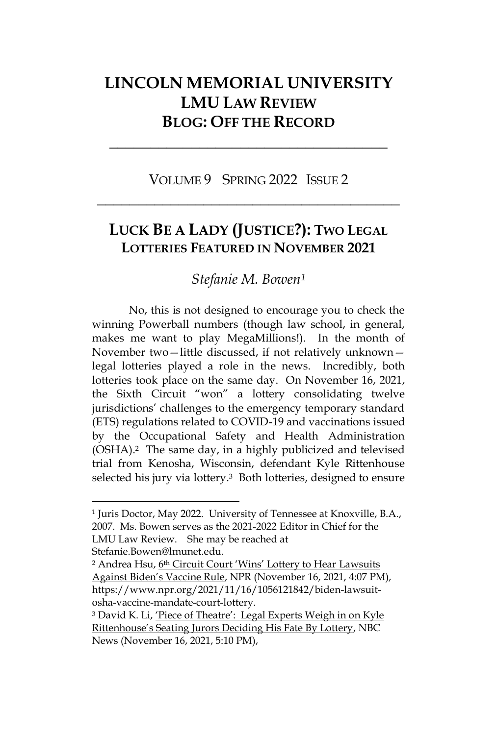## **LINCOLN MEMORIAL UNIVERSITY LMU LAW REVIEW BLOG: OFF THE RECORD**

**\_\_\_\_\_\_\_\_\_\_\_\_\_\_\_\_\_\_\_\_\_\_\_\_\_\_\_\_\_\_\_\_\_\_**

VOLUME 9 SPRING 2022 ISSUE 2 **\_\_\_\_\_\_\_\_\_\_\_\_\_\_\_\_\_\_\_\_\_\_\_\_\_\_\_\_\_\_\_\_\_\_\_\_\_**

## **LUCK BE A LADY (JUSTICE?): TWO LEGAL LOTTERIES FEATURED IN NOVEMBER 2021**

*Stefanie M. Bowen<sup>1</sup>*

No, this is not designed to encourage you to check the winning Powerball numbers (though law school, in general, makes me want to play MegaMillions!). In the month of November two—little discussed, if not relatively unknown legal lotteries played a role in the news. Incredibly, both lotteries took place on the same day. On November 16, 2021, the Sixth Circuit "won" a lottery consolidating twelve jurisdictions' challenges to the emergency temporary standard (ETS) regulations related to COVID-19 and vaccinations issued by the Occupational Safety and Health Administration (OSHA).2 The same day, in a highly publicized and televised trial from Kenosha, Wisconsin, defendant Kyle Rittenhouse selected his jury via lottery.<sup>3</sup> Both lotteries, designed to ensure

<sup>1</sup> Juris Doctor, May 2022. University of Tennessee at Knoxville, B.A., 2007. Ms. Bowen serves as the 2021-2022 Editor in Chief for the LMU Law Review. She may be reached at Stefanie.Bowen@lmunet.edu.

<sup>&</sup>lt;sup>2</sup> Andrea Hsu, 6th Circuit Court 'Wins' Lottery to Hear Lawsuits Against Biden's Vaccine Rule, NPR (November 16, 2021, 4:07 PM), https://www.npr.org/2021/11/16/1056121842/biden-lawsuitosha-vaccine-mandate-court-lottery.

<sup>&</sup>lt;sup>3</sup> David K. Li, 'Piece of Theatre': Legal Experts Weigh in on Kyle Rittenhouse's Seating Jurors Deciding His Fate By Lottery, NBC News (November 16, 2021, 5:10 PM),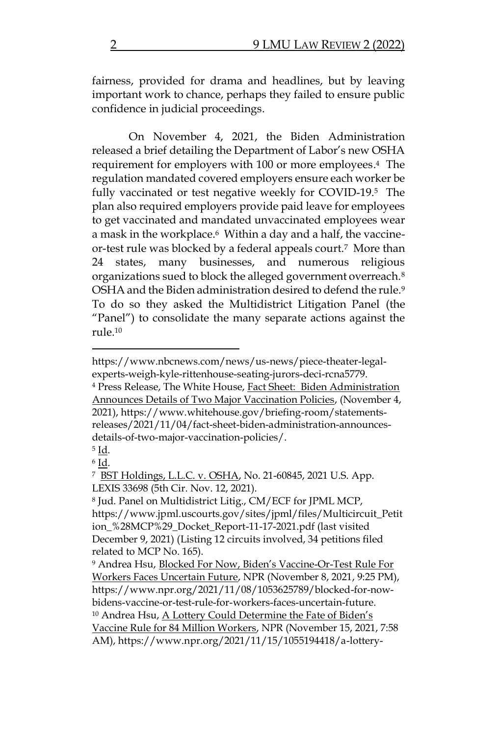fairness, provided for drama and headlines, but by leaving important work to chance, perhaps they failed to ensure public confidence in judicial proceedings.

On November 4, 2021, the Biden Administration released a brief detailing the Department of Labor's new OSHA requirement for employers with 100 or more employees. <sup>4</sup> The regulation mandated covered employers ensure each worker be fully vaccinated or test negative weekly for COVID-19. <sup>5</sup> The plan also required employers provide paid leave for employees to get vaccinated and mandated unvaccinated employees wear a mask in the workplace.<sup>6</sup> Within a day and a half, the vaccineor-test rule was blocked by a federal appeals court.7 More than 24 states, many businesses, and numerous religious organizations sued to block the alleged government overreach.<sup>8</sup> OSHA and the Biden administration desired to defend the rule.<sup>9</sup> To do so they asked the Multidistrict Litigation Panel (the "Panel") to consolidate the many separate actions against the rule $10$ 

<sup>4</sup> Press Release, The White House, Fact Sheet: Biden Administration Announces Details of Two Major Vaccination Policies, (November 4, 2021), https://www.whitehouse.gov/briefing-room/statementsreleases/2021/11/04/fact-sheet-biden-administration-announcesdetails-of-two-major-vaccination-policies/.

https://www.nbcnews.com/news/us-news/piece-theater-legalexperts-weigh-kyle-rittenhouse-seating-jurors-deci-rcna5779.

<sup>5</sup> Id.

<sup>6</sup> Id.

<sup>&</sup>lt;sup>7</sup> BST Holdings, L.L.C. v. OSHA, No. 21-60845, 2021 U.S. App. LEXIS 33698 (5th Cir. Nov. 12, 2021).

<sup>8</sup> Jud. Panel on Multidistrict Litig., CM/ECF for JPML MCP, https://www.jpml.uscourts.gov/sites/jpml/files/Multicircuit\_Petit ion\_%28MCP%29\_Docket\_Report-11-17-2021.pdf (last visited December 9, 2021) (Listing 12 circuits involved, 34 petitions filed related to MCP No. 165).

<sup>9</sup> Andrea Hsu, Blocked For Now, Biden's Vaccine-Or-Test Rule For Workers Faces Uncertain Future, NPR (November 8, 2021, 9:25 PM), https://www.npr.org/2021/11/08/1053625789/blocked-for-nowbidens-vaccine-or-test-rule-for-workers-faces-uncertain-future. <sup>10</sup> Andrea Hsu, <u>A Lottery Could Determine the Fate of Biden's</u> Vaccine Rule for 84 Million Workers, NPR (November 15, 2021, 7:58 AM), https://www.npr.org/2021/11/15/1055194418/a-lottery-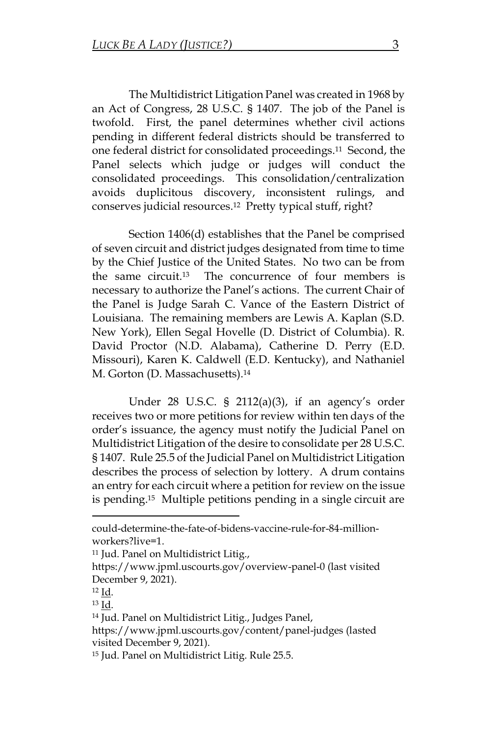The Multidistrict Litigation Panel was created in 1968 by an Act of Congress, 28 U.S.C. § 1407. The job of the Panel is twofold. First, the panel determines whether civil actions pending in different federal districts should be transferred to one federal district for consolidated proceedings.11 Second, the Panel selects which judge or judges will conduct the consolidated proceedings. This consolidation/centralization avoids duplicitous discovery, inconsistent rulings, and conserves judicial resources.12 Pretty typical stuff, right?

Section 1406(d) establishes that the Panel be comprised of seven circuit and district judges designated from time to time by the Chief Justice of the United States. No two can be from the same circuit.13 The concurrence of four members is necessary to authorize the Panel's actions. The current Chair of the Panel is Judge Sarah C. Vance of the Eastern District of Louisiana. The remaining members are Lewis A. Kaplan (S.D. New York), Ellen Segal Hovelle (D. District of Columbia). R. David Proctor (N.D. Alabama), Catherine D. Perry (E.D. Missouri), Karen K. Caldwell (E.D. Kentucky), and Nathaniel M. Gorton (D. Massachusetts).<sup>14</sup>

Under 28 U.S.C. § 2112(a)(3), if an agency's order receives two or more petitions for review within ten days of the order's issuance, the agency must notify the Judicial Panel on Multidistrict Litigation of the desire to consolidate per 28 U.S.C. § 1407. Rule 25.5 of the Judicial Panel on Multidistrict Litigation describes the process of selection by lottery. A drum contains an entry for each circuit where a petition for review on the issue is pending.15 Multiple petitions pending in a single circuit are

could-determine-the-fate-of-bidens-vaccine-rule-for-84-millionworkers?live=1.

<sup>11</sup> Jud. Panel on Multidistrict Litig.,

https://www.jpml.uscourts.gov/overview-panel-0 (last visited December 9, 2021).

<sup>12</sup> Id.

<sup>13</sup> Id.

<sup>14</sup> Jud. Panel on Multidistrict Litig., Judges Panel,

https://www.jpml.uscourts.gov/content/panel-judges (lasted visited December 9, 2021).

<sup>15</sup> Jud. Panel on Multidistrict Litig. Rule 25.5.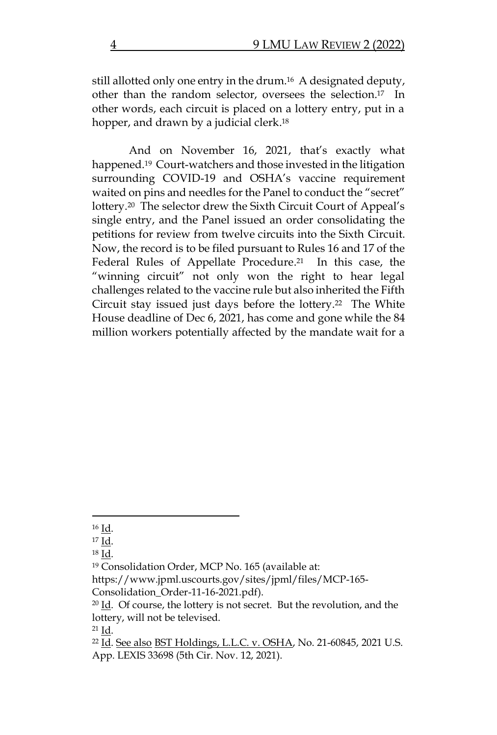still allotted only one entry in the drum.16 A designated deputy, other than the random selector, oversees the selection.17 In other words, each circuit is placed on a lottery entry, put in a hopper, and drawn by a judicial clerk. 18

And on November 16, 2021, that's exactly what happened.19 Court-watchers and those invested in the litigation surrounding COVID-19 and OSHA's vaccine requirement waited on pins and needles for the Panel to conduct the "secret" lottery.20 The selector drew the Sixth Circuit Court of Appeal's single entry, and the Panel issued an order consolidating the petitions for review from twelve circuits into the Sixth Circuit. Now, the record is to be filed pursuant to Rules 16 and 17 of the Federal Rules of Appellate Procedure. <sup>21</sup> In this case, the "winning circuit" not only won the right to hear legal challenges related to the vaccine rule but also inherited the Fifth Circuit stay issued just days before the lottery. <sup>22</sup> The White House deadline of Dec 6, 2021, has come and gone while the 84 million workers potentially affected by the mandate wait for a

<sup>16</sup> Id.

<sup>17</sup> Id.

<sup>18</sup> Id.

<sup>19</sup> Consolidation Order, MCP No. 165 (available at:

https://www.jpml.uscourts.gov/sites/jpml/files/MCP-165-

Consolidation\_Order-11-16-2021.pdf).

<sup>20</sup> Id. Of course, the lottery is not secret. But the revolution, and the lottery, will not be televised.

<sup>21</sup> Id.

<sup>22</sup> Id. See also BST Holdings, L.L.C. v. OSHA, No. 21-60845, 2021 U.S. App. LEXIS 33698 (5th Cir. Nov. 12, 2021).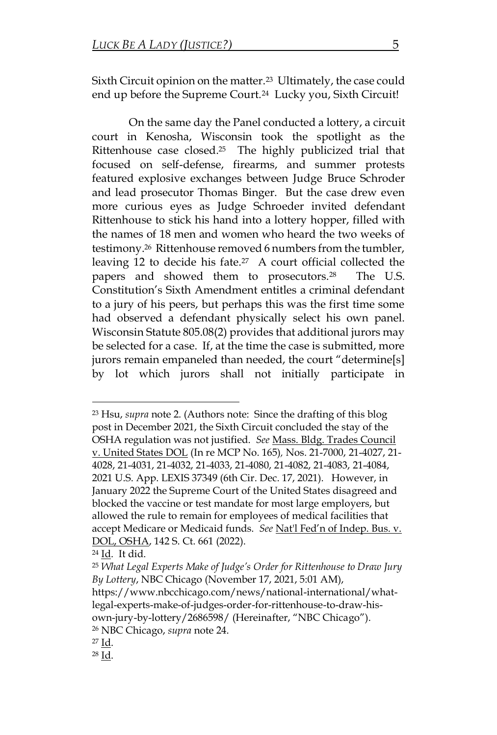Sixth Circuit opinion on the matter. <sup>23</sup> Ultimately, the case could end up before the Supreme Court.<sup>24</sup> Lucky you, Sixth Circuit!

On the same day the Panel conducted a lottery, a circuit court in Kenosha, Wisconsin took the spotlight as the Rittenhouse case closed. <sup>25</sup> The highly publicized trial that focused on self-defense, firearms, and summer protests featured explosive exchanges between Judge Bruce Schroder and lead prosecutor Thomas Binger. But the case drew even more curious eyes as Judge Schroeder invited defendant Rittenhouse to stick his hand into a lottery hopper, filled with the names of 18 men and women who heard the two weeks of testimony.26 Rittenhouse removed 6 numbers from the tumbler, leaving 12 to decide his fate.27 A court official collected the papers and showed them to prosecutors.28 The U.S. Constitution's Sixth Amendment entitles a criminal defendant to a jury of his peers, but perhaps this was the first time some had observed a defendant physically select his own panel. Wisconsin Statute 805.08(2) provides that additional jurors may be selected for a case. If, at the time the case is submitted, more jurors remain empaneled than needed, the court "determine[s] by lot which jurors shall not initially participate in

<sup>23</sup> Hsu, *supra* note 2. (Authors note: Since the drafting of this blog post in December 2021, the Sixth Circuit concluded the stay of the OSHA regulation was not justified. *See* Mass. Bldg. Trades Council v. United States DOL (In re MCP No. 165)*,* Nos. 21-7000, 21-4027, 21- 4028, 21-4031, 21-4032, 21-4033, 21-4080, 21-4082, 21-4083, 21-4084, 2021 U.S. App. LEXIS 37349 (6th Cir. Dec. 17, 2021). However, in January 2022 the Supreme Court of the United States disagreed and blocked the vaccine or test mandate for most large employers, but allowed the rule to remain for employees of medical facilities that accept Medicare or Medicaid funds. *See* Nat'l Fed'n of Indep. Bus. v. DOL, OSHA, 142 S. Ct. 661 (2022).

<sup>24</sup> Id. It did.

<sup>25</sup> *What Legal Experts Make of Judge's Order for Rittenhouse to Draw Jury By Lottery*, NBC Chicago (November 17, 2021, 5:01 AM), https://www.nbcchicago.com/news/national-international/whatlegal-experts-make-of-judges-order-for-rittenhouse-to-draw-hisown-jury-by-lottery/2686598/ (Hereinafter, "NBC Chicago"). <sup>26</sup> NBC Chicago, *supra* note 24.

<sup>27</sup> Id.

<sup>28</sup> Id.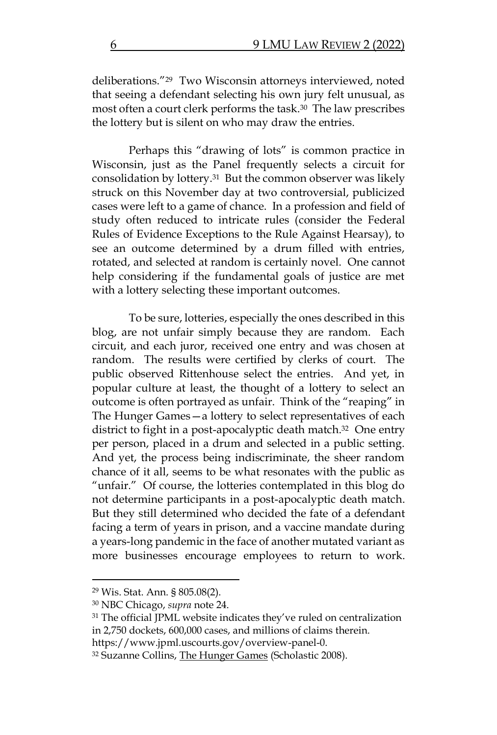deliberations."29 Two Wisconsin attorneys interviewed, noted that seeing a defendant selecting his own jury felt unusual, as most often a court clerk performs the task.30 The law prescribes the lottery but is silent on who may draw the entries.

Perhaps this "drawing of lots" is common practice in Wisconsin, just as the Panel frequently selects a circuit for consolidation by lottery.31 But the common observer was likely struck on this November day at two controversial, publicized cases were left to a game of chance. In a profession and field of study often reduced to intricate rules (consider the Federal Rules of Evidence Exceptions to the Rule Against Hearsay), to see an outcome determined by a drum filled with entries, rotated, and selected at random is certainly novel. One cannot help considering if the fundamental goals of justice are met with a lottery selecting these important outcomes.

To be sure, lotteries, especially the ones described in this blog, are not unfair simply because they are random. Each circuit, and each juror, received one entry and was chosen at random. The results were certified by clerks of court. The public observed Rittenhouse select the entries. And yet, in popular culture at least, the thought of a lottery to select an outcome is often portrayed as unfair. Think of the "reaping" in The Hunger Games—a lottery to select representatives of each district to fight in a post-apocalyptic death match.<sup>32</sup> One entry per person, placed in a drum and selected in a public setting. And yet, the process being indiscriminate, the sheer random chance of it all, seems to be what resonates with the public as "unfair." Of course, the lotteries contemplated in this blog do not determine participants in a post-apocalyptic death match. But they still determined who decided the fate of a defendant facing a term of years in prison, and a vaccine mandate during a years-long pandemic in the face of another mutated variant as more businesses encourage employees to return to work.

<sup>29</sup> Wis. Stat. Ann. § 805.08(2).

<sup>30</sup> NBC Chicago, *supra* note 24.

<sup>&</sup>lt;sup>31</sup> The official JPML website indicates they've ruled on centralization in 2,750 dockets, 600,000 cases, and millions of claims therein.

https://www.jpml.uscourts.gov/overview-panel-0.

<sup>32</sup> Suzanne Collins, The Hunger Games (Scholastic 2008).